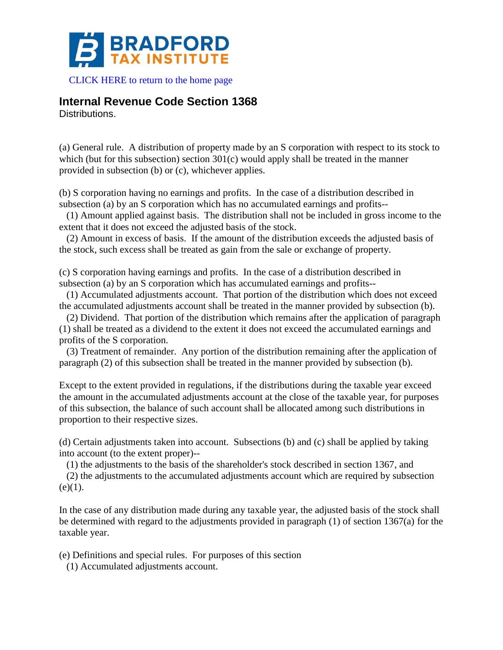

[CLICK HERE to return to the home page](http://bradfordtaxinstitute.com/index1.aspx) 

## **Internal Revenue Code Section 1368**

Distributions.

(a) General rule. A distribution of property made by an S corporation with respect to its stock to which (but for this subsection) section 301(c) would apply shall be treated in the manner provided in subsection (b) or (c), whichever applies.

(b) S corporation having no earnings and profits. In the case of a distribution described in subsection (a) by an S corporation which has no accumulated earnings and profits--

(1) Amount applied against basis. The distribution shall not be included in gross income to the extent that it does not exceed the adjusted basis of the stock.

(2) Amount in excess of basis. If the amount of the distribution exceeds the adjusted basis of the stock, such excess shall be treated as gain from the sale or exchange of property.

(c) S corporation having earnings and profits. In the case of a distribution described in subsection (a) by an S corporation which has accumulated earnings and profits--

(1) Accumulated adjustments account. That portion of the distribution which does not exceed the accumulated adjustments account shall be treated in the manner provided by subsection (b).

(2) Dividend. That portion of the distribution which remains after the application of paragraph (1) shall be treated as a dividend to the extent it does not exceed the accumulated earnings and profits of the S corporation.

(3) Treatment of remainder. Any portion of the distribution remaining after the application of paragraph (2) of this subsection shall be treated in the manner provided by subsection (b).

Except to the extent provided in regulations, if the distributions during the taxable year exceed the amount in the accumulated adjustments account at the close of the taxable year, for purposes of this subsection, the balance of such account shall be allocated among such distributions in proportion to their respective sizes.

(d) Certain adjustments taken into account. Subsections (b) and (c) shall be applied by taking into account (to the extent proper)--

(1) the adjustments to the basis of the shareholder's stock described in section 1367, and

(2) the adjustments to the accumulated adjustments account which are required by subsection  $(e)(1)$ .

In the case of any distribution made during any taxable year, the adjusted basis of the stock shall be determined with regard to the adjustments provided in paragraph (1) of section 1367(a) for the taxable year.

(e) Definitions and special rules. For purposes of this section

(1) Accumulated adjustments account.